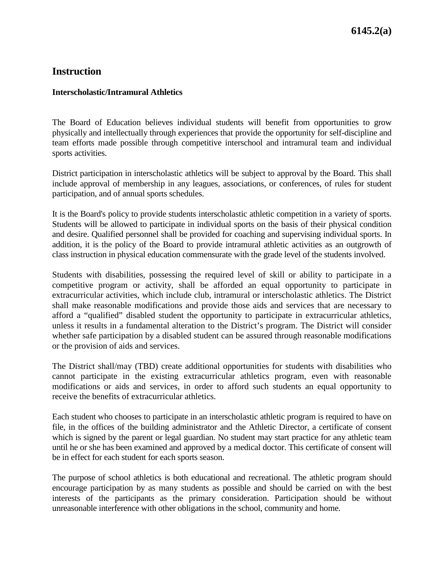## **Instruction**

## **Interscholastic/Intramural Athletics**

The Board of Education believes individual students will benefit from opportunities to grow physically and intellectually through experiences that provide the opportunity for self-discipline and team efforts made possible through competitive interschool and intramural team and individual sports activities.

District participation in interscholastic athletics will be subject to approval by the Board. This shall include approval of membership in any leagues, associations, or conferences, of rules for student participation, and of annual sports schedules.

It is the Board's policy to provide students interscholastic athletic competition in a variety of sports. Students will be allowed to participate in individual sports on the basis of their physical condition and desire. Qualified personnel shall be provided for coaching and supervising individual sports. In addition, it is the policy of the Board to provide intramural athletic activities as an outgrowth of class instruction in physical education commensurate with the grade level of the students involved.

Students with disabilities, possessing the required level of skill or ability to participate in a competitive program or activity, shall be afforded an equal opportunity to participate in extracurricular activities, which include club, intramural or interscholastic athletics. The District shall make reasonable modifications and provide those aids and services that are necessary to afford a "qualified" disabled student the opportunity to participate in extracurricular athletics, unless it results in a fundamental alteration to the District's program. The District will consider whether safe participation by a disabled student can be assured through reasonable modifications or the provision of aids and services.

The District shall/may (TBD) create additional opportunities for students with disabilities who cannot participate in the existing extracurricular athletics program, even with reasonable modifications or aids and services, in order to afford such students an equal opportunity to receive the benefits of extracurricular athletics.

Each student who chooses to participate in an interscholastic athletic program is required to have on file, in the offices of the building administrator and the Athletic Director, a certificate of consent which is signed by the parent or legal guardian. No student may start practice for any athletic team until he or she has been examined and approved by a medical doctor. This certificate of consent will be in effect for each student for each sports season.

The purpose of school athletics is both educational and recreational. The athletic program should encourage participation by as many students as possible and should be carried on with the best interests of the participants as the primary consideration. Participation should be without unreasonable interference with other obligations in the school, community and home.